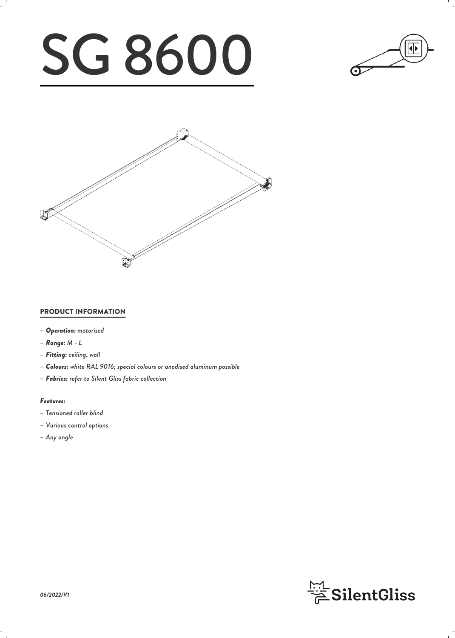# SG 8600





# PRODUCT INFORMATION

- *– Operation: motorised*
- *– Range: M L*
- *– Fitting: ceiling, wall*
- *– Colours: white RAL 9016; special colours or anodised aluminum possible*
- *– Fabrics: refer to Silent Gliss fabric collection*

## *Features:*

- *– Tensioned roller blind*
- *– Various control options*
- *– Any angle*

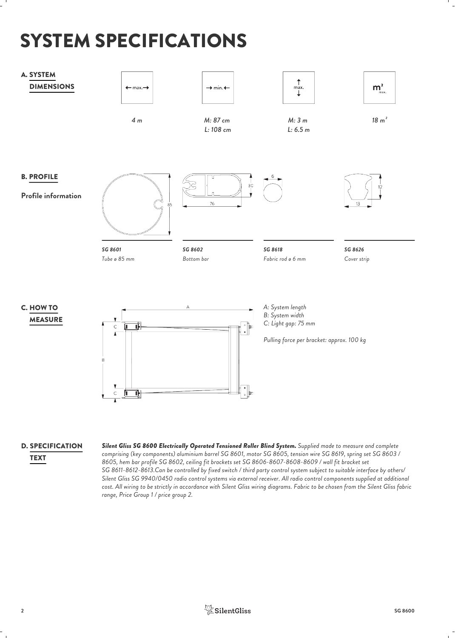# SYSTEM SPECIFICATIONS



# D. SPECIFICATION

**TEXT** 

*Silent Gliss SG 8600 Electrically Operated Tensioned Roller Blind System. Supplied made to measure and complete comprising (key components) aluminium barrel SG 8601, motor SG 8605, tension wire SG 8619, spring set SG 8603 / 8605, hem bar profile SG 8602, ceiling fit brackets set SG 8606-8607-8608-8609 / wall fit bracket set SG 8611-8612-8613.Can be controlled by fixed switch / third party control system subject to suitable interface by others/ Silent Gliss SG 9940/0450 radio control systems via external receiver. All radio control components supplied at additional cost. All wiring to be strictly in accordance with Silent Gliss wiring diagrams. Fabric to be chosen from the Silent Gliss fabric range, Price Group 1 / price group 2.*

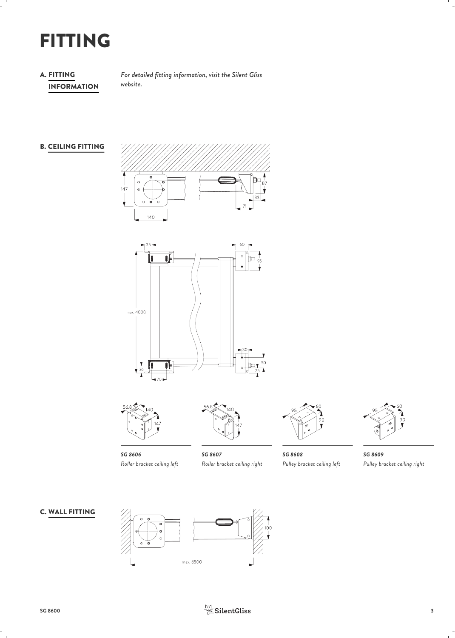# FITTING

# A. FITTING INFORMATION

*For detailed fitting information, visit the Silent Gliss website.*

# B. CEILING FITTING







*SG 8606 Roller bracket ceiling left*



*SG 8607 Roller bracket ceiling right*



*SG 8608 Pulley bracket ceiling left*



*SG 8609 Pulley bracket ceiling right*

# C. WALL FITTING



![](_page_2_Picture_16.jpeg)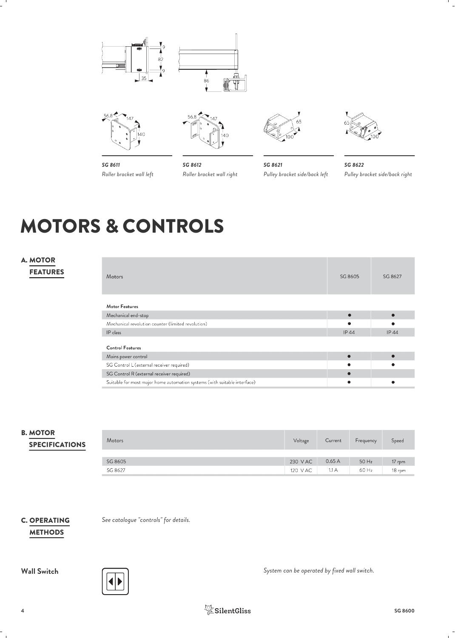![](_page_3_Figure_0.jpeg)

![](_page_3_Picture_1.jpeg)

![](_page_3_Picture_2.jpeg)

![](_page_3_Picture_3.jpeg)

*SG 8611 Roller bracket wall left*

*SG 8612 Roller bracket wall right*

*SG 8621 Pulley bracket side/back left*

*SG 8622 Pulley bracket side/back right*

# MOTORS & CONTROLS

# A. MOTOR FEATURES

| Motors                                                                    | SG 8605     | SG 8627     |  |
|---------------------------------------------------------------------------|-------------|-------------|--|
| <b>Motor Features</b>                                                     |             |             |  |
| Mechanical end-stop                                                       |             |             |  |
| Mechanical revolution counter (limited revolution)                        |             |             |  |
| IP class                                                                  | <b>IP44</b> | <b>IP44</b> |  |
| <b>Control Features</b>                                                   |             |             |  |
| Mains power control                                                       |             |             |  |
| SG Control L (external receiver required)                                 |             |             |  |
| SG Control R (external receiver required)                                 |             |             |  |
| Suitable for most major home automation systems (with suitable interface) |             |             |  |

# B. MOTOR SPECIFICATIONS

| <b>Motors</b> | Voltage  | Current | Frequency | Speed  |
|---------------|----------|---------|-----------|--------|
|               |          |         |           |        |
| SG 8605       | 230 VAC  | 0.65A   | 50 Hz     | 17 rpm |
| SG 8627       | 120 V AC | 1.1 A   | 60 Hz     | 18 rpm |

# C. OPERATING **METHODS**

*See catalogue "controls" for details.*

![](_page_3_Picture_16.jpeg)

**Wall Switch** *System can be operated by fixed wall switch.*

![](_page_3_Picture_18.jpeg)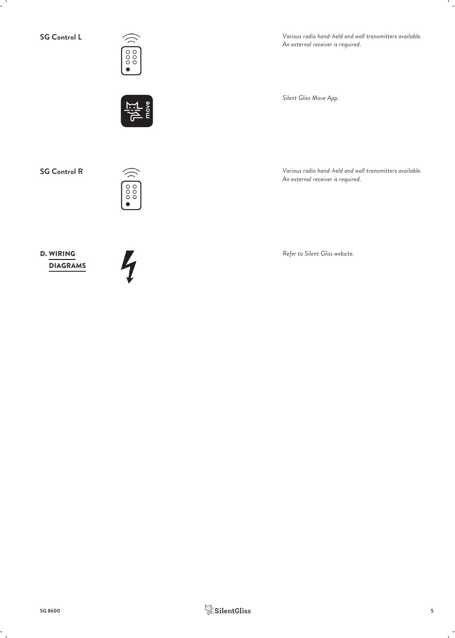![](_page_4_Picture_1.jpeg)

**SG Control L** *Various radio hand-held and wall transmitters available. An external receiver is required.*

*Silent Gliss Move App.*

**SG Control R** *Various radio hand-held and wall transmitters available.*

![](_page_4_Picture_6.jpeg)

D. WIRING Refer to Silent Gliss website.<br> **DIAGRAMS** DIAGRAMS

![](_page_4_Picture_8.jpeg)

*An external receiver is required.*

![](_page_4_Picture_10.jpeg)

![](_page_4_Picture_11.jpeg)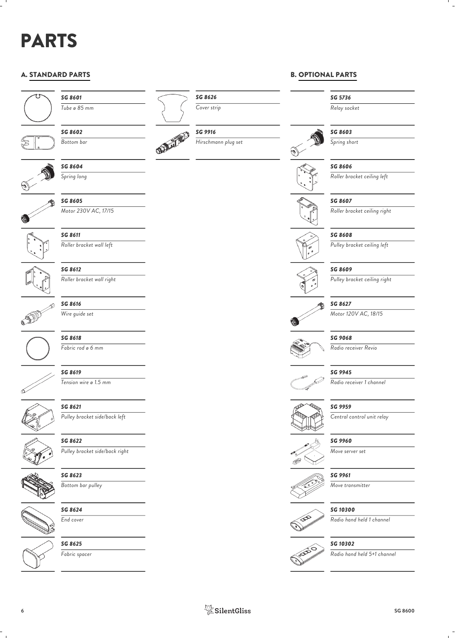# PARTS

# A. STANDARD PARTS

![](_page_5_Figure_2.jpeg)

B. OPTIONAL PARTS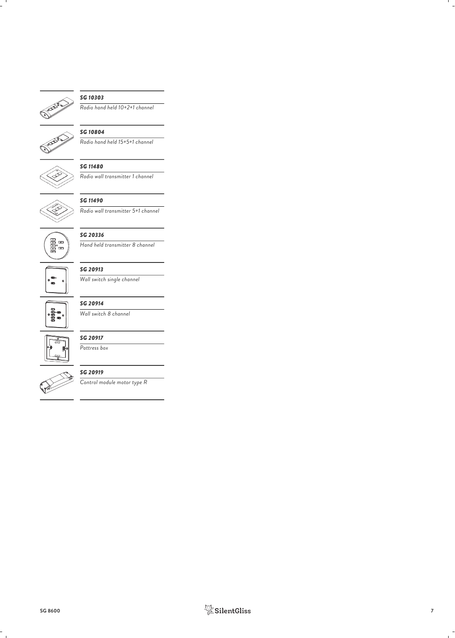![](_page_6_Picture_0.jpeg)

# *SG 10303*

*Radio hand held 10+2+1 channel*

![](_page_6_Picture_3.jpeg)

## *SG 10804*

*Radio hand held 15+5+1 channel*

![](_page_6_Picture_6.jpeg)

# *SG 11480*

*Radio wall transmitter 1 channel*

![](_page_6_Picture_9.jpeg)

# *SG 11490*

*Radio wall transmitter 5+1 channel*

![](_page_6_Picture_12.jpeg)

# *SG 20336*

*Hand held transmitter 8 channel*

![](_page_6_Picture_15.jpeg)

# *SG 20913 Wall switch single channel*

![](_page_6_Picture_17.jpeg)

# *SG 20914*

*Wall switch 8 channel*

![](_page_6_Picture_20.jpeg)

# *SG 20917 Pattress box*

![](_page_6_Picture_23.jpeg)

# *SG 20919*

*Control module motor type R*

![](_page_6_Picture_26.jpeg)

![](_page_6_Picture_27.jpeg)

![](_page_6_Picture_28.jpeg)